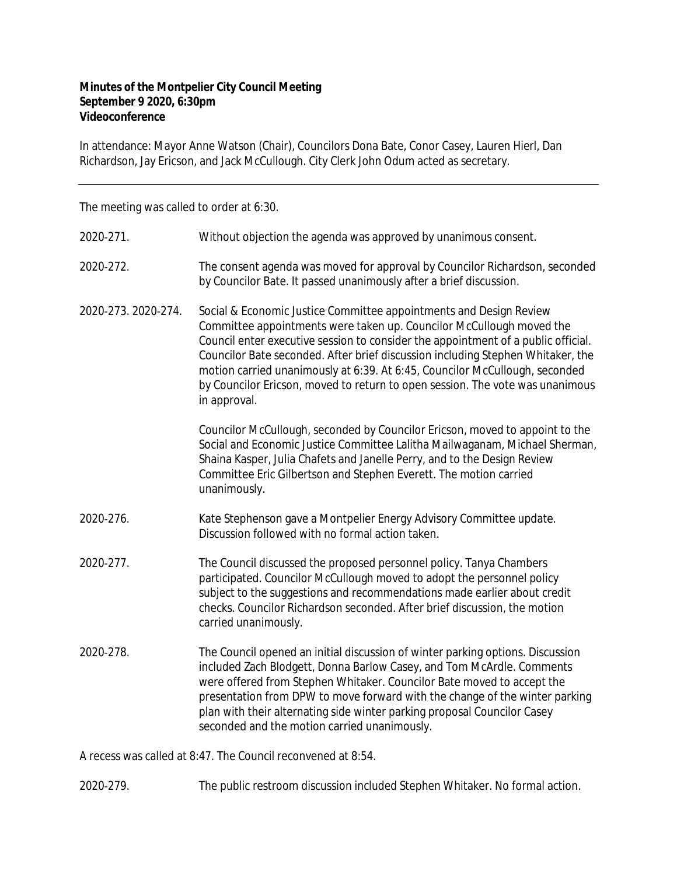## **Minutes of the Montpelier City Council Meeting September 9 2020, 6:30pm Videoconference**

In attendance: Mayor Anne Watson (Chair), Councilors Dona Bate, Conor Casey, Lauren Hierl, Dan Richardson, Jay Ericson, and Jack McCullough. City Clerk John Odum acted as secretary.

The meeting was called to order at 6:30.

| 2020-271.           | Without objection the agenda was approved by unanimous consent.                                                                                                                                                                                                                                                                                                                                                                                                                                    |
|---------------------|----------------------------------------------------------------------------------------------------------------------------------------------------------------------------------------------------------------------------------------------------------------------------------------------------------------------------------------------------------------------------------------------------------------------------------------------------------------------------------------------------|
| 2020-272.           | The consent agenda was moved for approval by Councilor Richardson, seconded<br>by Councilor Bate. It passed unanimously after a brief discussion.                                                                                                                                                                                                                                                                                                                                                  |
| 2020-273. 2020-274. | Social & Economic Justice Committee appointments and Design Review<br>Committee appointments were taken up. Councilor McCullough moved the<br>Council enter executive session to consider the appointment of a public official.<br>Councilor Bate seconded. After brief discussion including Stephen Whitaker, the<br>motion carried unanimously at 6:39. At 6:45, Councilor McCullough, seconded<br>by Councilor Ericson, moved to return to open session. The vote was unanimous<br>in approval. |
|                     | Councilor McCullough, seconded by Councilor Ericson, moved to appoint to the<br>Social and Economic Justice Committee Lalitha Mailwaganam, Michael Sherman,<br>Shaina Kasper, Julia Chafets and Janelle Perry, and to the Design Review<br>Committee Eric Gilbertson and Stephen Everett. The motion carried<br>unanimously.                                                                                                                                                                       |
| 2020-276.           | Kate Stephenson gave a Montpelier Energy Advisory Committee update.<br>Discussion followed with no formal action taken.                                                                                                                                                                                                                                                                                                                                                                            |
| 2020-277.           | The Council discussed the proposed personnel policy. Tanya Chambers<br>participated. Councilor McCullough moved to adopt the personnel policy<br>subject to the suggestions and recommendations made earlier about credit<br>checks. Councilor Richardson seconded. After brief discussion, the motion<br>carried unanimously.                                                                                                                                                                     |
| 2020-278.           | The Council opened an initial discussion of winter parking options. Discussion<br>included Zach Blodgett, Donna Barlow Casey, and Tom McArdle. Comments<br>were offered from Stephen Whitaker. Councilor Bate moved to accept the<br>presentation from DPW to move forward with the change of the winter parking<br>plan with their alternating side winter parking proposal Councilor Casey<br>seconded and the motion carried unanimously.                                                       |
|                     | A recess was called at 8:47. The Council reconvened at 8:54.                                                                                                                                                                                                                                                                                                                                                                                                                                       |

2020‐279. The public restroom discussion included Stephen Whitaker. No formal action.